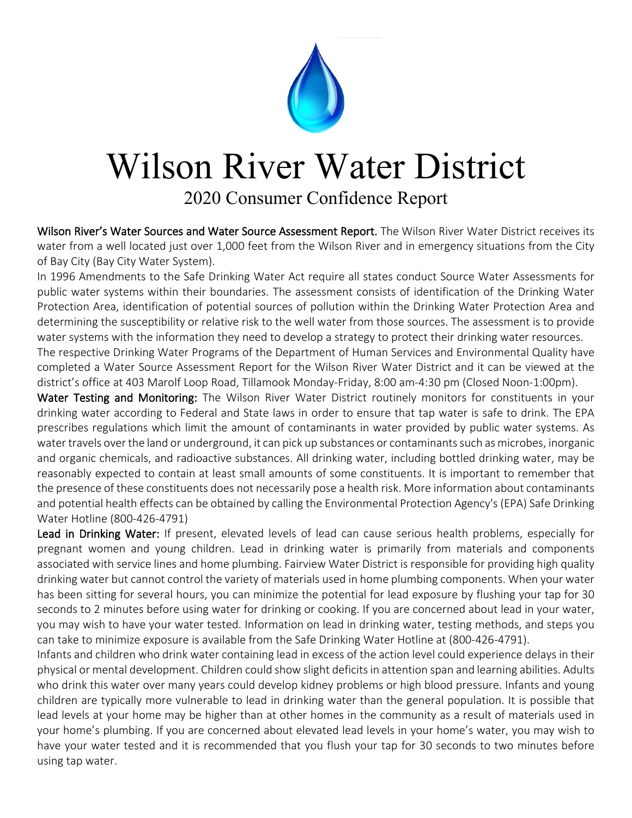

## Wilson River Water District

2020 Consumer Confidence Report

Wilson River's Water Sources and Water Source Assessment Report. The Wilson River Water District receives its water from a well located just over 1,000 feet from the Wilson River and in emergency situations from the City of Bay City (Bay City Water System).

In 1996 Amendments to the Safe Drinking Water Act require all states conduct Source Water Assessments for public water systems within their boundaries. The assessment consists of identification of the Drinking Water Protection Area, identification of potential sources of pollution within the Drinking Water Protection Area and determining the susceptibility or relative risk to the well water from those sources. The assessment is to provide water systems with the information they need to develop a strategy to protect their drinking water resources.

The respective Drinking Water Programs of the Department of Human Services and Environmental Quality have completed a Water Source Assessment Report for the Wilson River Water District and it can be viewed at the district's office at 403 Marolf Loop Road, Tillamook Monday-Friday, 8:00 am-4:30 pm (Closed Noon-1:00pm).

Water Testing and Monitoring: The Wilson River Water District routinely monitors for constituents in your drinking water according to Federal and State laws in order to ensure that tap water is safe to drink. The EPA prescribes regulations which limit the amount of contaminants in water provided by public water systems. As water travels over the land or underground, it can pick up substances or contaminants such as microbes, inorganic and organic chemicals, and radioactive substances. All drinking water, including bottled drinking water, may be reasonably expected to contain at least small amounts of some constituents. It is important to remember that the presence of these constituents does not necessarily pose a health risk. More information about contaminants and potential health effects can be obtained by calling the Environmental Protection Agency's (EPA) Safe Drinking Water Hotline (800-426-4791)

Lead in Drinking Water: If present, elevated levels of lead can cause serious health problems, especially for pregnant women and young children. Lead in drinking water is primarily from materials and components associated with service lines and home plumbing. Fairview Water District is responsible for providing high quality drinking water but cannot control the variety of materials used in home plumbing components. When your water has been sitting for several hours, you can minimize the potential for lead exposure by flushing your tap for 30 seconds to 2 minutes before using water for drinking or cooking. If you are concerned about lead in your water, you may wish to have your water tested. Information on lead in drinking water, testing methods, and steps you can take to minimize exposure is available from the Safe Drinking Water Hotline at (800-426-4791).

Infants and children who drink water containing lead in excess of the action level could experience delays in their physical or mental development. Children could show slight deficits in attention span and learning abilities. Adults who drink this water over many years could develop kidney problems or high blood pressure. Infants and young children are typically more vulnerable to lead in drinking water than the general population. It is possible that lead levels at your home may be higher than at other homes in the community as a result of materials used in your home's plumbing. If you are concerned about elevated lead levels in your home's water, you may wish to have your water tested and it is recommended that you flush your tap for 30 seconds to two minutes before using tap water.